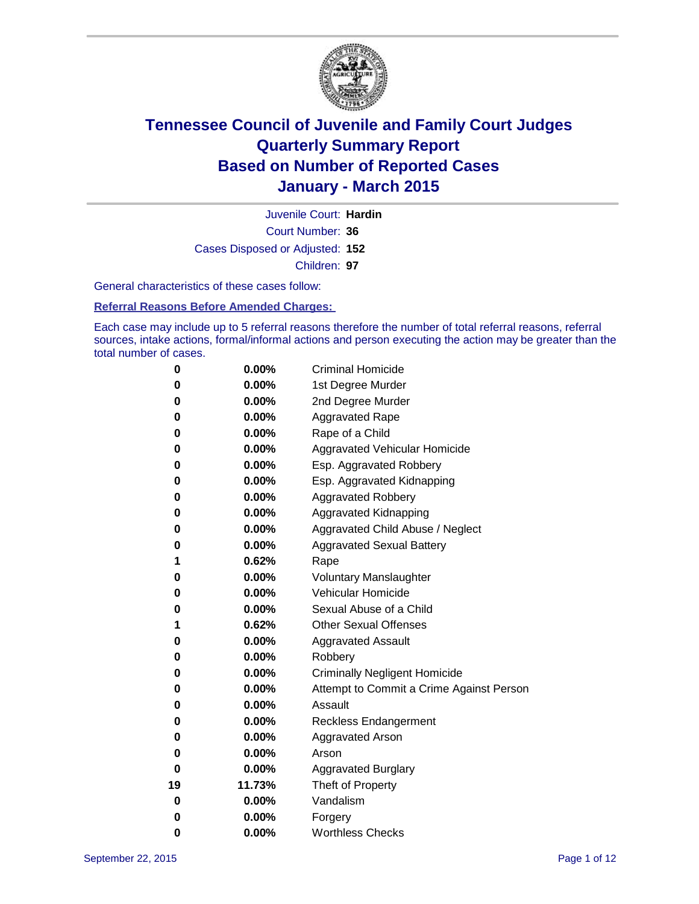

Court Number: **36** Juvenile Court: **Hardin** Cases Disposed or Adjusted: **152** Children: **97**

General characteristics of these cases follow:

**Referral Reasons Before Amended Charges:** 

Each case may include up to 5 referral reasons therefore the number of total referral reasons, referral sources, intake actions, formal/informal actions and person executing the action may be greater than the total number of cases.

| 0  | 0.00%    | <b>Criminal Homicide</b>                 |
|----|----------|------------------------------------------|
| 0  | 0.00%    | 1st Degree Murder                        |
| 0  | 0.00%    | 2nd Degree Murder                        |
| 0  | $0.00\%$ | <b>Aggravated Rape</b>                   |
| 0  | $0.00\%$ | Rape of a Child                          |
| 0  | 0.00%    | Aggravated Vehicular Homicide            |
| 0  | 0.00%    | Esp. Aggravated Robbery                  |
| 0  | 0.00%    | Esp. Aggravated Kidnapping               |
| 0  | 0.00%    | <b>Aggravated Robbery</b>                |
| 0  | 0.00%    | Aggravated Kidnapping                    |
| 0  | 0.00%    | Aggravated Child Abuse / Neglect         |
| 0  | 0.00%    | <b>Aggravated Sexual Battery</b>         |
| 1  | 0.62%    | Rape                                     |
| 0  | 0.00%    | <b>Voluntary Manslaughter</b>            |
| 0  | 0.00%    | Vehicular Homicide                       |
| 0  | 0.00%    | Sexual Abuse of a Child                  |
| 1  | 0.62%    | <b>Other Sexual Offenses</b>             |
| 0  | 0.00%    | <b>Aggravated Assault</b>                |
| 0  | 0.00%    | Robbery                                  |
| 0  | $0.00\%$ | <b>Criminally Negligent Homicide</b>     |
| 0  | $0.00\%$ | Attempt to Commit a Crime Against Person |
| 0  | 0.00%    | Assault                                  |
| 0  | 0.00%    | Reckless Endangerment                    |
| 0  | $0.00\%$ | <b>Aggravated Arson</b>                  |
| 0  | $0.00\%$ | Arson                                    |
| 0  | 0.00%    | <b>Aggravated Burglary</b>               |
| 19 | 11.73%   | Theft of Property                        |
| 0  | $0.00\%$ | Vandalism                                |
| 0  | 0.00%    | Forgery                                  |
| 0  | 0.00%    | <b>Worthless Checks</b>                  |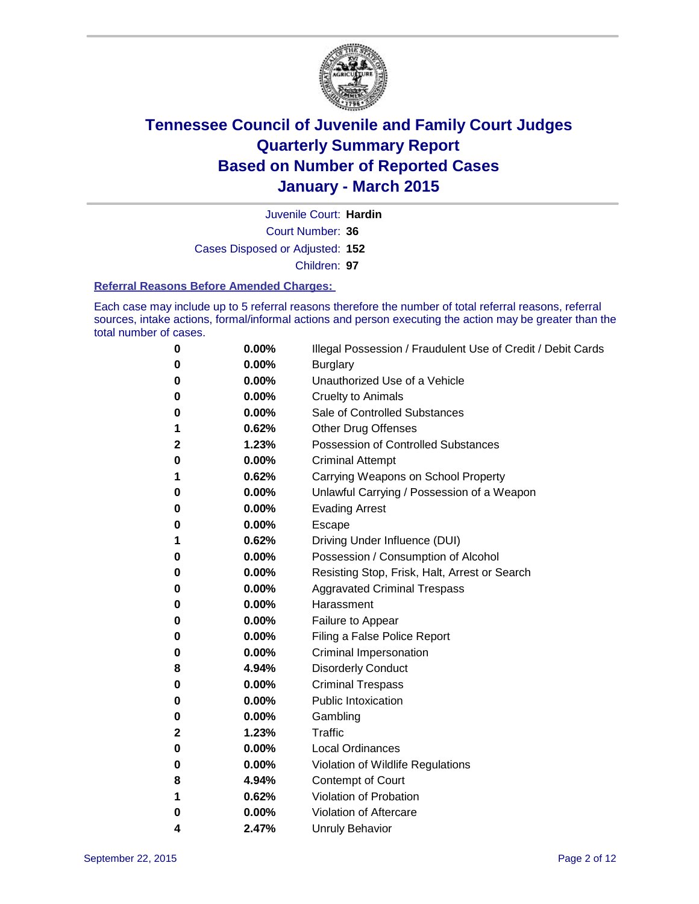

Court Number: **36** Juvenile Court: **Hardin** Cases Disposed or Adjusted: **152** Children: **97**

#### **Referral Reasons Before Amended Charges:**

Each case may include up to 5 referral reasons therefore the number of total referral reasons, referral sources, intake actions, formal/informal actions and person executing the action may be greater than the total number of cases.

| 0 | 0.00% | Illegal Possession / Fraudulent Use of Credit / Debit Cards |
|---|-------|-------------------------------------------------------------|
| 0 | 0.00% | <b>Burglary</b>                                             |
| 0 | 0.00% | Unauthorized Use of a Vehicle                               |
| 0 | 0.00% | <b>Cruelty to Animals</b>                                   |
| 0 | 0.00% | Sale of Controlled Substances                               |
| 1 | 0.62% | Other Drug Offenses                                         |
| 2 | 1.23% | <b>Possession of Controlled Substances</b>                  |
| 0 | 0.00% | <b>Criminal Attempt</b>                                     |
| 1 | 0.62% | Carrying Weapons on School Property                         |
| 0 | 0.00% | Unlawful Carrying / Possession of a Weapon                  |
| 0 | 0.00% | <b>Evading Arrest</b>                                       |
| 0 | 0.00% | Escape                                                      |
| 1 | 0.62% | Driving Under Influence (DUI)                               |
| 0 | 0.00% | Possession / Consumption of Alcohol                         |
| 0 | 0.00% | Resisting Stop, Frisk, Halt, Arrest or Search               |
| 0 | 0.00% | <b>Aggravated Criminal Trespass</b>                         |
| 0 | 0.00% | Harassment                                                  |
| 0 | 0.00% | Failure to Appear                                           |
| 0 | 0.00% | Filing a False Police Report                                |
| 0 | 0.00% | <b>Criminal Impersonation</b>                               |
| 8 | 4.94% | <b>Disorderly Conduct</b>                                   |
| 0 | 0.00% | <b>Criminal Trespass</b>                                    |
| 0 | 0.00% | <b>Public Intoxication</b>                                  |
| 0 | 0.00% | Gambling                                                    |
| 2 | 1.23% | <b>Traffic</b>                                              |
| 0 | 0.00% | <b>Local Ordinances</b>                                     |
| 0 | 0.00% | Violation of Wildlife Regulations                           |
| 8 | 4.94% | Contempt of Court                                           |
| 1 | 0.62% | Violation of Probation                                      |
| 0 | 0.00% | Violation of Aftercare                                      |
| 4 | 2.47% | <b>Unruly Behavior</b>                                      |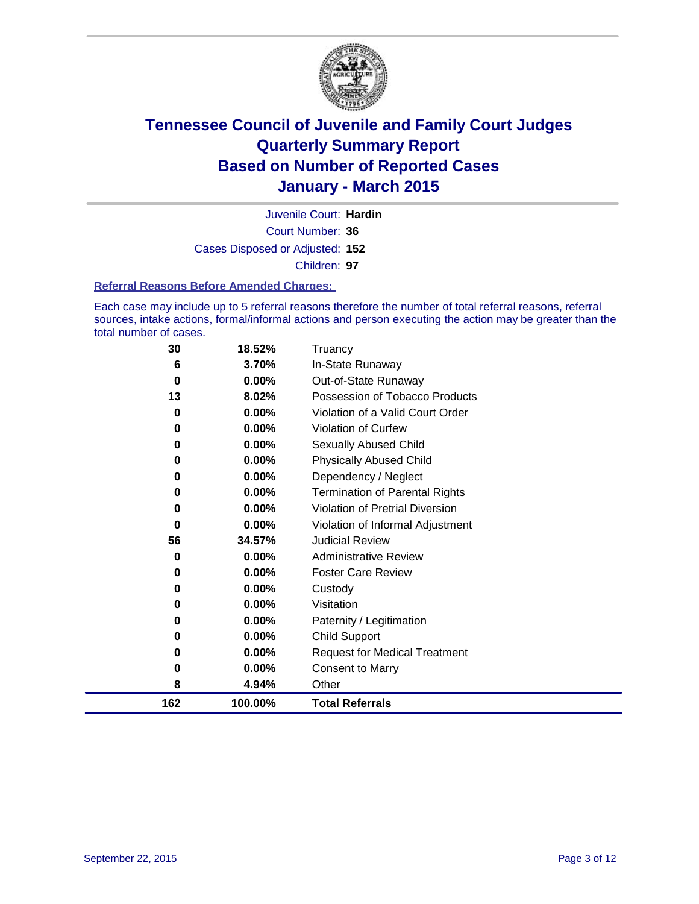

Court Number: **36** Juvenile Court: **Hardin** Cases Disposed or Adjusted: **152** Children: **97**

### **Referral Reasons Before Amended Charges:**

Each case may include up to 5 referral reasons therefore the number of total referral reasons, referral sources, intake actions, formal/informal actions and person executing the action may be greater than the total number of cases.

| 30  | 18.52%   | Truancy                                |
|-----|----------|----------------------------------------|
| 6   | 3.70%    | In-State Runaway                       |
| 0   | 0.00%    | Out-of-State Runaway                   |
| 13  | 8.02%    | Possession of Tobacco Products         |
| 0   | $0.00\%$ | Violation of a Valid Court Order       |
| 0   | $0.00\%$ | <b>Violation of Curfew</b>             |
| 0   | 0.00%    | Sexually Abused Child                  |
| 0   | 0.00%    | <b>Physically Abused Child</b>         |
| 0   | 0.00%    | Dependency / Neglect                   |
| 0   | 0.00%    | <b>Termination of Parental Rights</b>  |
| 0   | 0.00%    | <b>Violation of Pretrial Diversion</b> |
| 0   | 0.00%    | Violation of Informal Adjustment       |
| 56  | 34.57%   | <b>Judicial Review</b>                 |
| 0   | $0.00\%$ | <b>Administrative Review</b>           |
| 0   | 0.00%    | <b>Foster Care Review</b>              |
| 0   | 0.00%    | Custody                                |
| 0   | 0.00%    | Visitation                             |
| 0   | $0.00\%$ | Paternity / Legitimation               |
| 0   | 0.00%    | <b>Child Support</b>                   |
| 0   | 0.00%    | <b>Request for Medical Treatment</b>   |
| 0   | 0.00%    | <b>Consent to Marry</b>                |
| 8   | 4.94%    | Other                                  |
| 162 | 100.00%  | <b>Total Referrals</b>                 |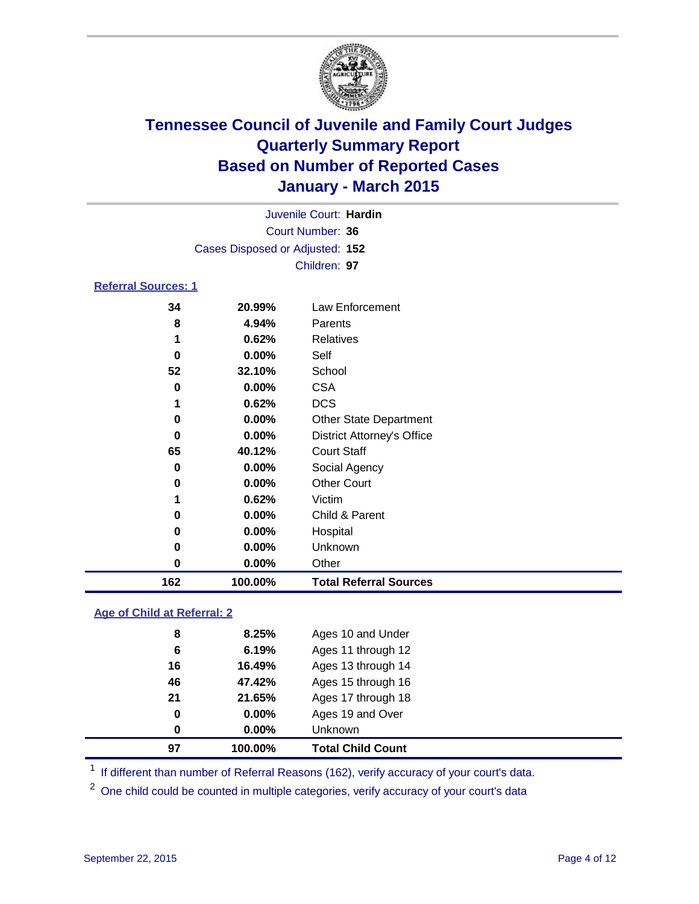

| Juvenile Court: Hardin          |  |
|---------------------------------|--|
| Court Number: 36                |  |
| Cases Disposed or Adjusted: 152 |  |
| Children: 97                    |  |

### **Referral Sources: 1**

| 162 | 100.00%  | <b>Total Referral Sources</b>     |
|-----|----------|-----------------------------------|
| 0   | $0.00\%$ | Other                             |
| 0   | $0.00\%$ | Unknown                           |
| 0   | $0.00\%$ | Hospital                          |
| 0   | 0.00%    | Child & Parent                    |
|     | 0.62%    | Victim                            |
| 0   | 0.00%    | <b>Other Court</b>                |
| 0   | $0.00\%$ | Social Agency                     |
| 65  | 40.12%   | <b>Court Staff</b>                |
| 0   | $0.00\%$ | <b>District Attorney's Office</b> |
| 0   | $0.00\%$ | <b>Other State Department</b>     |
|     | 0.62%    | <b>DCS</b>                        |
| 0   | $0.00\%$ | <b>CSA</b>                        |
| 52  | 32.10%   | School                            |
| 0   | 0.00%    | Self                              |
| 1   | 0.62%    | Relatives                         |
| 8   | 4.94%    | Parents                           |
| 34  | 20.99%   | Law Enforcement                   |

### **Age of Child at Referral: 2**

| 97 | 100.00%  | <b>Total Child Count</b> |
|----|----------|--------------------------|
| 0  | $0.00\%$ | <b>Unknown</b>           |
| 0  | $0.00\%$ | Ages 19 and Over         |
| 21 | 21.65%   | Ages 17 through 18       |
| 46 | 47.42%   | Ages 15 through 16       |
| 16 | 16.49%   | Ages 13 through 14       |
| 6  | 6.19%    | Ages 11 through 12       |
| 8  | 8.25%    | Ages 10 and Under        |
|    |          |                          |

<sup>1</sup> If different than number of Referral Reasons (162), verify accuracy of your court's data.

One child could be counted in multiple categories, verify accuracy of your court's data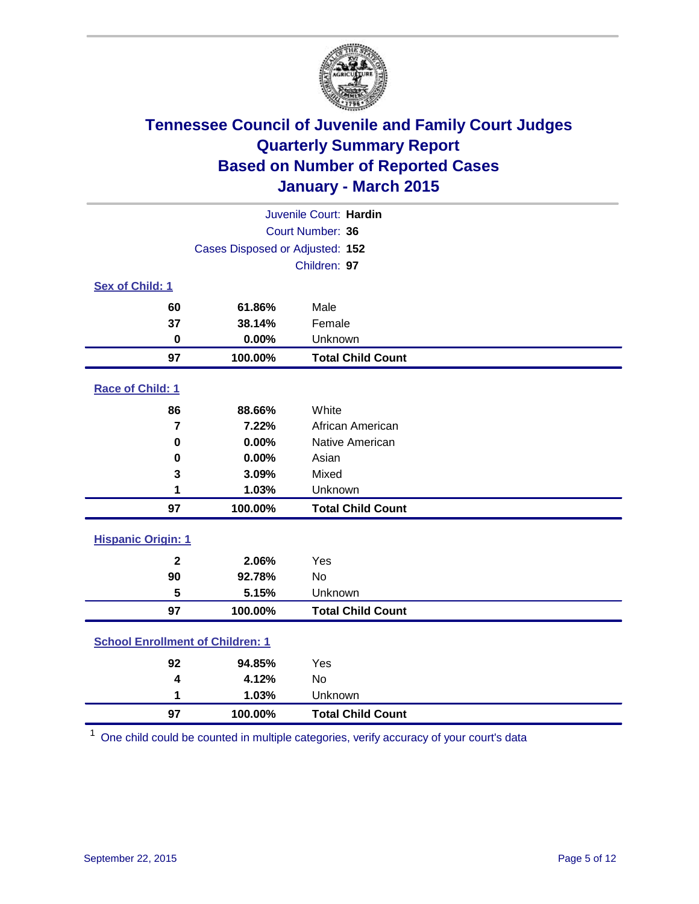

| Juvenile Court: Hardin                  |                                 |                          |  |  |  |
|-----------------------------------------|---------------------------------|--------------------------|--|--|--|
| Court Number: 36                        |                                 |                          |  |  |  |
|                                         | Cases Disposed or Adjusted: 152 |                          |  |  |  |
|                                         |                                 | Children: 97             |  |  |  |
| <b>Sex of Child: 1</b>                  |                                 |                          |  |  |  |
| 60                                      | 61.86%                          | Male                     |  |  |  |
| 37                                      | 38.14%                          | Female                   |  |  |  |
| $\bf{0}$                                | 0.00%                           | Unknown                  |  |  |  |
| 97                                      | 100.00%                         | <b>Total Child Count</b> |  |  |  |
| Race of Child: 1                        |                                 |                          |  |  |  |
| 86                                      | 88.66%                          | White                    |  |  |  |
| $\overline{7}$                          | 7.22%                           | African American         |  |  |  |
| $\bf{0}$                                | 0.00%                           | Native American          |  |  |  |
| 0                                       | 0.00%                           | Asian                    |  |  |  |
| 3                                       | 3.09%                           | Mixed                    |  |  |  |
| 1                                       | 1.03%                           | Unknown                  |  |  |  |
| 97                                      | 100.00%                         | <b>Total Child Count</b> |  |  |  |
| <b>Hispanic Origin: 1</b>               |                                 |                          |  |  |  |
| $\overline{2}$                          | 2.06%                           | Yes                      |  |  |  |
| 90                                      | 92.78%                          | <b>No</b>                |  |  |  |
| 5                                       | 5.15%                           | Unknown                  |  |  |  |
| 97                                      | 100.00%                         | <b>Total Child Count</b> |  |  |  |
| <b>School Enrollment of Children: 1</b> |                                 |                          |  |  |  |
| 92                                      | 94.85%                          | Yes                      |  |  |  |
| 4                                       | 4.12%                           | <b>No</b>                |  |  |  |
| 1                                       | 1.03%                           | Unknown                  |  |  |  |
| 97                                      | 100.00%                         | <b>Total Child Count</b> |  |  |  |

One child could be counted in multiple categories, verify accuracy of your court's data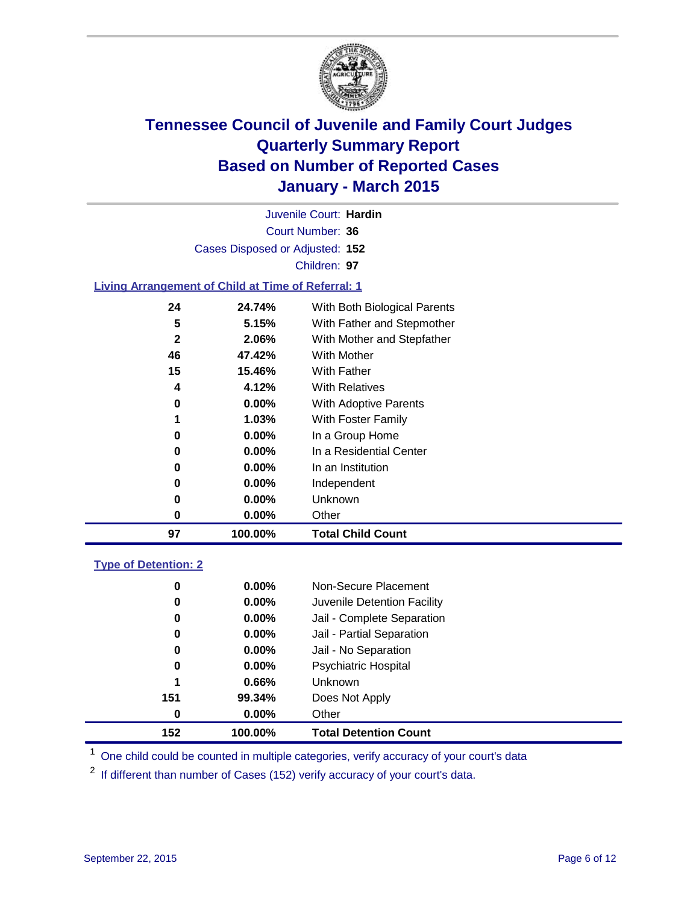

Court Number: **36** Juvenile Court: **Hardin** Cases Disposed or Adjusted: **152** Children: **97**

### **Living Arrangement of Child at Time of Referral: 1**

| 97           | 100.00%  | <b>Total Child Count</b>     |
|--------------|----------|------------------------------|
| 0            | $0.00\%$ | Other                        |
| 0            | $0.00\%$ | Unknown                      |
| 0            | $0.00\%$ | Independent                  |
| 0            | $0.00\%$ | In an Institution            |
| 0            | $0.00\%$ | In a Residential Center      |
| 0            | $0.00\%$ | In a Group Home              |
| 1            | $1.03\%$ | With Foster Family           |
| 0            | $0.00\%$ | <b>With Adoptive Parents</b> |
| 4            | 4.12%    | <b>With Relatives</b>        |
| 15           | 15.46%   | With Father                  |
| 46           | 47.42%   | With Mother                  |
| $\mathbf{2}$ | 2.06%    | With Mother and Stepfather   |
| 5            | 5.15%    | With Father and Stepmother   |
| 24           | 24.74%   | With Both Biological Parents |
|              |          |                              |

### **Type of Detention: 2**

| 0   | $0.00\%$ | Non-Secure Placement         |  |
|-----|----------|------------------------------|--|
| 0   | $0.00\%$ | Juvenile Detention Facility  |  |
| 0   | $0.00\%$ | Jail - Complete Separation   |  |
| 0   | 0.00%    | Jail - Partial Separation    |  |
| 0   | $0.00\%$ | Jail - No Separation         |  |
| 0   | $0.00\%$ | <b>Psychiatric Hospital</b>  |  |
| 1   | 0.66%    | Unknown                      |  |
| 151 | 99.34%   | Does Not Apply               |  |
| 0   | $0.00\%$ | Other                        |  |
| 152 | 100.00%  | <b>Total Detention Count</b> |  |

<sup>1</sup> One child could be counted in multiple categories, verify accuracy of your court's data

If different than number of Cases (152) verify accuracy of your court's data.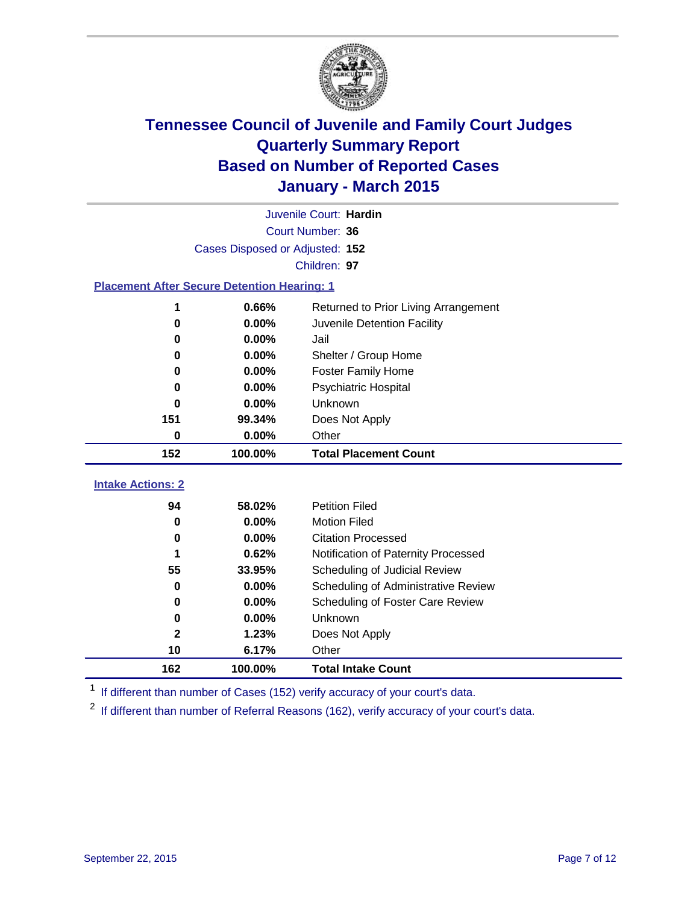

|                                                    | Juvenile Court: Hardin          |                                      |  |  |  |  |  |
|----------------------------------------------------|---------------------------------|--------------------------------------|--|--|--|--|--|
|                                                    | Court Number: 36                |                                      |  |  |  |  |  |
|                                                    | Cases Disposed or Adjusted: 152 |                                      |  |  |  |  |  |
| Children: 97                                       |                                 |                                      |  |  |  |  |  |
| <b>Placement After Secure Detention Hearing: 1</b> |                                 |                                      |  |  |  |  |  |
| 1                                                  | 0.66%                           | Returned to Prior Living Arrangement |  |  |  |  |  |
| 0                                                  | 0.00%                           | Juvenile Detention Facility          |  |  |  |  |  |
| 0                                                  | 0.00%                           | Jail                                 |  |  |  |  |  |
| 0                                                  | 0.00%                           | Shelter / Group Home                 |  |  |  |  |  |
| 0                                                  | 0.00%                           | <b>Foster Family Home</b>            |  |  |  |  |  |
| 0                                                  | 0.00%                           | <b>Psychiatric Hospital</b>          |  |  |  |  |  |
| O                                                  | 0.00%                           | Unknown                              |  |  |  |  |  |
| 151                                                | 99.34%                          | Does Not Apply                       |  |  |  |  |  |
| 0                                                  | 0.00%                           | Other                                |  |  |  |  |  |
| 152                                                | 100.00%                         | <b>Total Placement Count</b>         |  |  |  |  |  |
| <b>Intake Actions: 2</b>                           |                                 |                                      |  |  |  |  |  |
| 94                                                 | 58.02%                          | <b>Petition Filed</b>                |  |  |  |  |  |
| 0                                                  | 0.00%                           | <b>Motion Filed</b>                  |  |  |  |  |  |
| 0                                                  | 0.00%                           | <b>Citation Processed</b>            |  |  |  |  |  |
| 1                                                  | 0.62%                           | Notification of Paternity Processed  |  |  |  |  |  |
| 55                                                 | 33.95%                          | Scheduling of Judicial Review        |  |  |  |  |  |
| 0                                                  |                                 |                                      |  |  |  |  |  |
|                                                    | 0.00%                           | Scheduling of Administrative Review  |  |  |  |  |  |
| 0                                                  | 0.00%                           | Scheduling of Foster Care Review     |  |  |  |  |  |
| 0                                                  | 0.00%                           | <b>Unknown</b>                       |  |  |  |  |  |
| 2                                                  | 1.23%                           | Does Not Apply                       |  |  |  |  |  |

<sup>1</sup> If different than number of Cases (152) verify accuracy of your court's data.

**100.00% Total Intake Count**

<sup>2</sup> If different than number of Referral Reasons (162), verify accuracy of your court's data.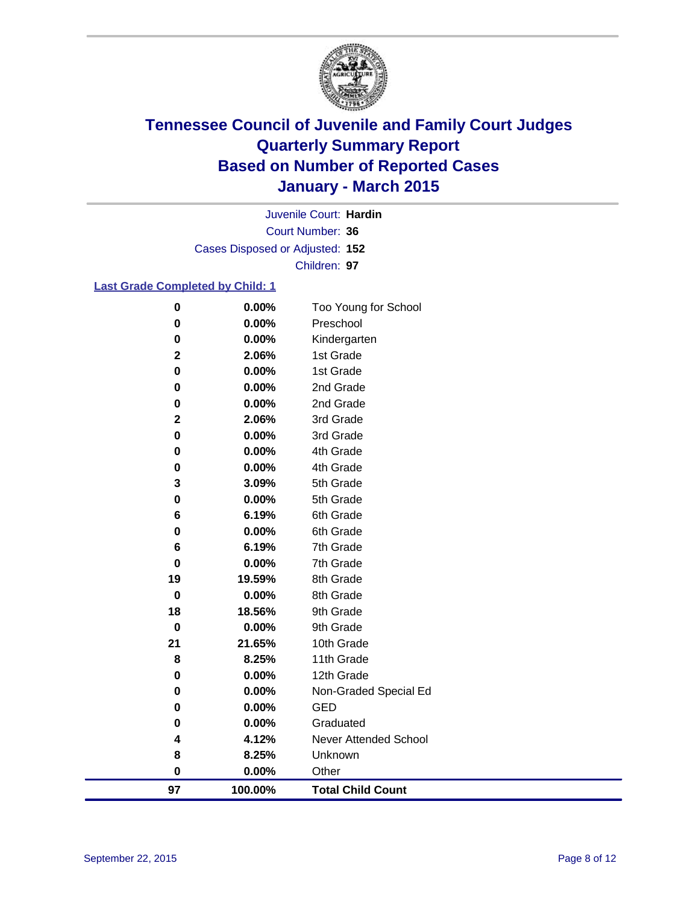

Court Number: **36** Juvenile Court: **Hardin** Cases Disposed or Adjusted: **152** Children: **97**

### **Last Grade Completed by Child: 1**

| 97          | 100.00%        | <b>Total Child Count</b> |
|-------------|----------------|--------------------------|
| 0           | 0.00%          | Other                    |
| 8           | 8.25%          | Unknown                  |
| 4           | 4.12%          | Never Attended School    |
| 0           | 0.00%          | Graduated                |
| 0           | 0.00%          | <b>GED</b>               |
| 0           | 0.00%          | Non-Graded Special Ed    |
| 0           | 0.00%          | 12th Grade               |
| 8           | 8.25%          | 11th Grade               |
| 21          | 21.65%         | 10th Grade               |
| $\bf{0}$    | 0.00%          | 9th Grade                |
| 18          | 18.56%         | 9th Grade                |
| $\mathbf 0$ | 0.00%          | 8th Grade                |
| 19          | 19.59%         | 8th Grade                |
| $\pmb{0}$   | 0.00%          | 7th Grade                |
| 6           | 6.19%          | 7th Grade                |
| 0           | 0.00%          | 6th Grade                |
| 0<br>6      | 0.00%<br>6.19% | 5th Grade<br>6th Grade   |
| 3           | 3.09%          | 5th Grade                |
| 0           | 0.00%          | 4th Grade                |
| 0           | 0.00%          | 4th Grade                |
| 0           | 0.00%          | 3rd Grade                |
| $\mathbf 2$ | 2.06%          | 3rd Grade                |
| 0           | 0.00%          | 2nd Grade                |
| 0           | 0.00%          | 2nd Grade                |
| 0           | 0.00%          | 1st Grade                |
| $\mathbf 2$ | 2.06%          | 1st Grade                |
| 0           | 0.00%          | Kindergarten             |
| 0           | 0.00%          | Preschool                |
| 0           | 0.00%          | Too Young for School     |
|             |                |                          |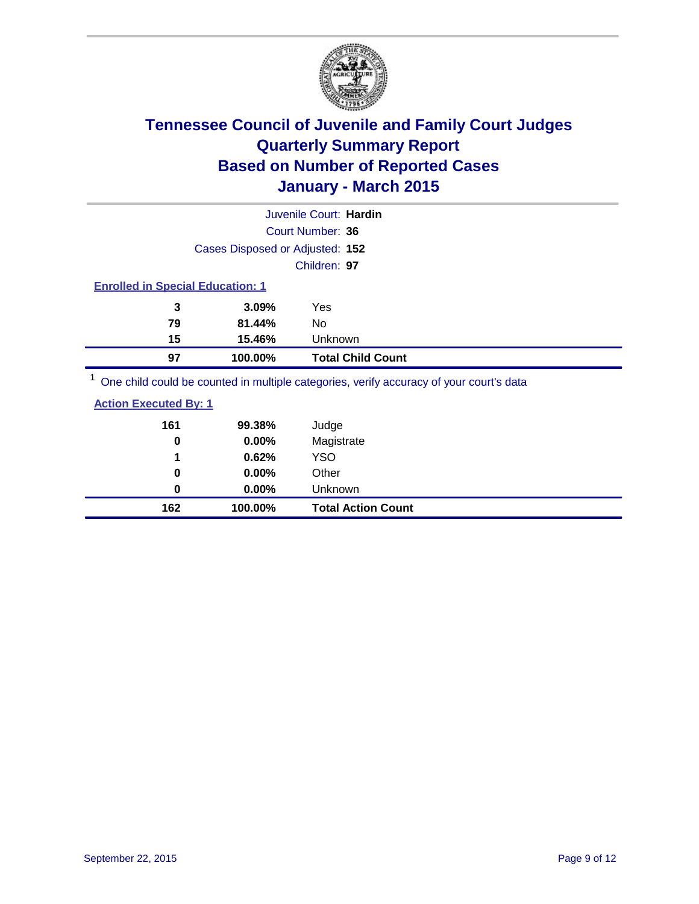

|    |                                         | Juvenile Court: Hardin                                                                  |  |  |  |
|----|-----------------------------------------|-----------------------------------------------------------------------------------------|--|--|--|
|    |                                         | Court Number: 36                                                                        |  |  |  |
|    | Cases Disposed or Adjusted: 152         |                                                                                         |  |  |  |
|    |                                         | Children: 97                                                                            |  |  |  |
|    | <b>Enrolled in Special Education: 1</b> |                                                                                         |  |  |  |
| 3  | 3.09%                                   | Yes                                                                                     |  |  |  |
| 79 | 81.44%                                  | No                                                                                      |  |  |  |
| 15 | 15.46%                                  | Unknown                                                                                 |  |  |  |
| 97 | 100.00%                                 | <b>Total Child Count</b>                                                                |  |  |  |
|    |                                         | One child could be counted in multiple categories, verify accuracy of your court's data |  |  |  |

**Action Executed By: 1**

| 162                          | 100.00% | <b>Total Action Count</b> |
|------------------------------|---------|---------------------------|
| $\bf{0}$                     | 0.00%   | Unknown                   |
| 0                            | 0.00%   | Other                     |
| 1                            | 0.62%   | <b>YSO</b>                |
| 0                            | 0.00%   | Magistrate                |
| 161                          | 99.38%  | Judge                     |
| <u>Action Executed By: 1</u> |         |                           |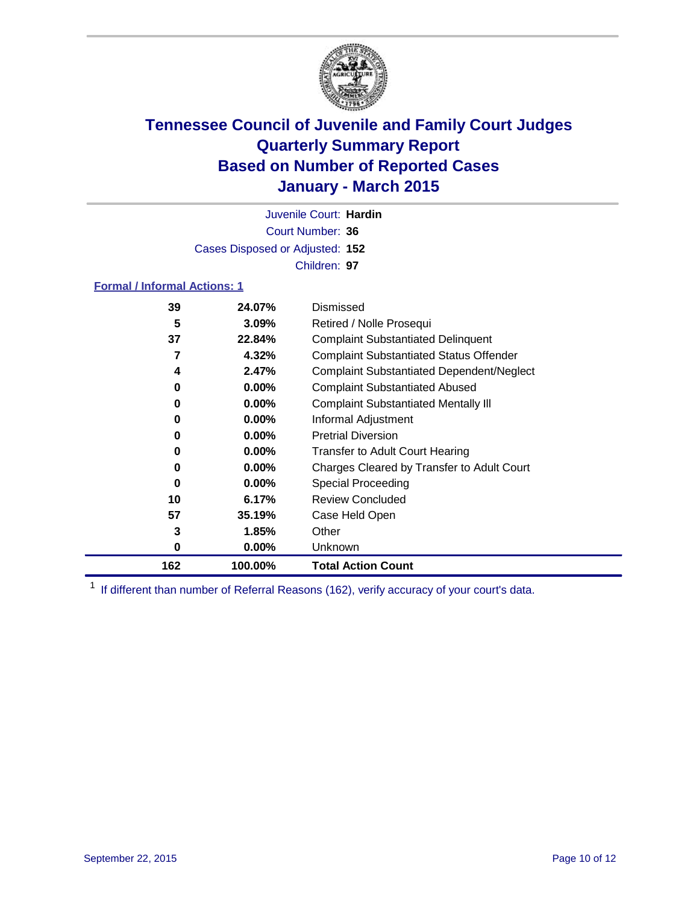

Court Number: **36** Juvenile Court: **Hardin** Cases Disposed or Adjusted: **152** Children: **97**

### **Formal / Informal Actions: 1**

| 39  | 24.07%   | Dismissed                                        |
|-----|----------|--------------------------------------------------|
| 5   | $3.09\%$ | Retired / Nolle Prosequi                         |
| 37  | 22.84%   | <b>Complaint Substantiated Delinquent</b>        |
| 7   | 4.32%    | <b>Complaint Substantiated Status Offender</b>   |
| 4   | 2.47%    | <b>Complaint Substantiated Dependent/Neglect</b> |
| 0   | $0.00\%$ | <b>Complaint Substantiated Abused</b>            |
| 0   | $0.00\%$ | <b>Complaint Substantiated Mentally III</b>      |
| 0   | $0.00\%$ | Informal Adjustment                              |
| 0   | $0.00\%$ | <b>Pretrial Diversion</b>                        |
| 0   | $0.00\%$ | <b>Transfer to Adult Court Hearing</b>           |
| 0   | $0.00\%$ | Charges Cleared by Transfer to Adult Court       |
| 0   | $0.00\%$ | Special Proceeding                               |
| 10  | 6.17%    | <b>Review Concluded</b>                          |
| 57  | 35.19%   | Case Held Open                                   |
| 3   | 1.85%    | Other                                            |
| 0   | $0.00\%$ | <b>Unknown</b>                                   |
| 162 | 100.00%  | <b>Total Action Count</b>                        |

<sup>1</sup> If different than number of Referral Reasons (162), verify accuracy of your court's data.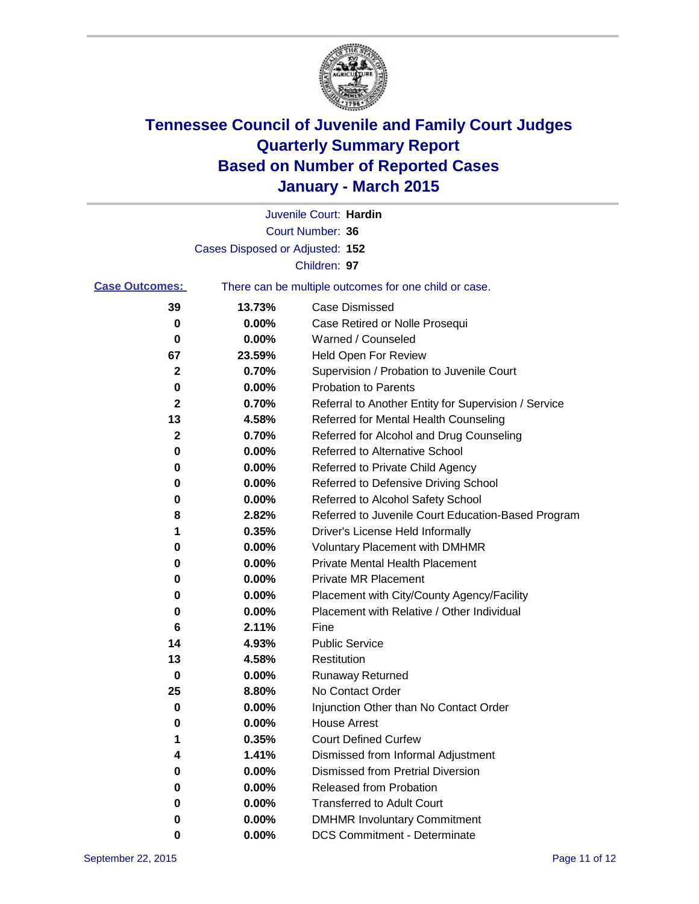

|                       |                                 | Juvenile Court: Hardin                                |
|-----------------------|---------------------------------|-------------------------------------------------------|
|                       |                                 | <b>Court Number: 36</b>                               |
|                       | Cases Disposed or Adjusted: 152 |                                                       |
|                       |                                 | Children: 97                                          |
| <b>Case Outcomes:</b> |                                 | There can be multiple outcomes for one child or case. |
| 39                    | 13.73%                          | <b>Case Dismissed</b>                                 |
| 0                     | 0.00%                           | Case Retired or Nolle Prosequi                        |
| 0                     | 0.00%                           | Warned / Counseled                                    |
| 67                    | 23.59%                          | Held Open For Review                                  |
| $\mathbf{2}$          | 0.70%                           | Supervision / Probation to Juvenile Court             |
| 0                     | 0.00%                           | <b>Probation to Parents</b>                           |
| 2                     | 0.70%                           | Referral to Another Entity for Supervision / Service  |
| 13                    | 4.58%                           | Referred for Mental Health Counseling                 |
| 2                     | 0.70%                           | Referred for Alcohol and Drug Counseling              |
| 0                     | 0.00%                           | <b>Referred to Alternative School</b>                 |
| 0                     | 0.00%                           | Referred to Private Child Agency                      |
| 0                     | 0.00%                           | Referred to Defensive Driving School                  |
| 0                     | 0.00%                           | Referred to Alcohol Safety School                     |
| 8                     | 2.82%                           | Referred to Juvenile Court Education-Based Program    |
| 1                     | 0.35%                           | Driver's License Held Informally                      |
| 0                     | 0.00%                           | <b>Voluntary Placement with DMHMR</b>                 |
| 0                     | 0.00%                           | <b>Private Mental Health Placement</b>                |
| 0                     | 0.00%                           | <b>Private MR Placement</b>                           |
| 0                     | 0.00%                           | Placement with City/County Agency/Facility            |
| 0                     | 0.00%                           | Placement with Relative / Other Individual            |
| 6                     | 2.11%                           | Fine                                                  |
| 14                    | 4.93%                           | <b>Public Service</b>                                 |
| 13                    | 4.58%                           | Restitution                                           |
| 0                     | 0.00%                           | <b>Runaway Returned</b>                               |
| 25                    | 8.80%                           | No Contact Order                                      |
| 0                     | 0.00%                           | Injunction Other than No Contact Order                |
| 0                     | 0.00%                           | <b>House Arrest</b>                                   |
|                       | 0.35%                           | <b>Court Defined Curfew</b>                           |
| 4                     | 1.41%                           | Dismissed from Informal Adjustment                    |
| 0                     | 0.00%                           | <b>Dismissed from Pretrial Diversion</b>              |
| 0                     | 0.00%                           | Released from Probation                               |
| 0                     | 0.00%                           | <b>Transferred to Adult Court</b>                     |
| 0                     | 0.00%                           | <b>DMHMR Involuntary Commitment</b>                   |
| 0                     | $0.00\%$                        | <b>DCS Commitment - Determinate</b>                   |